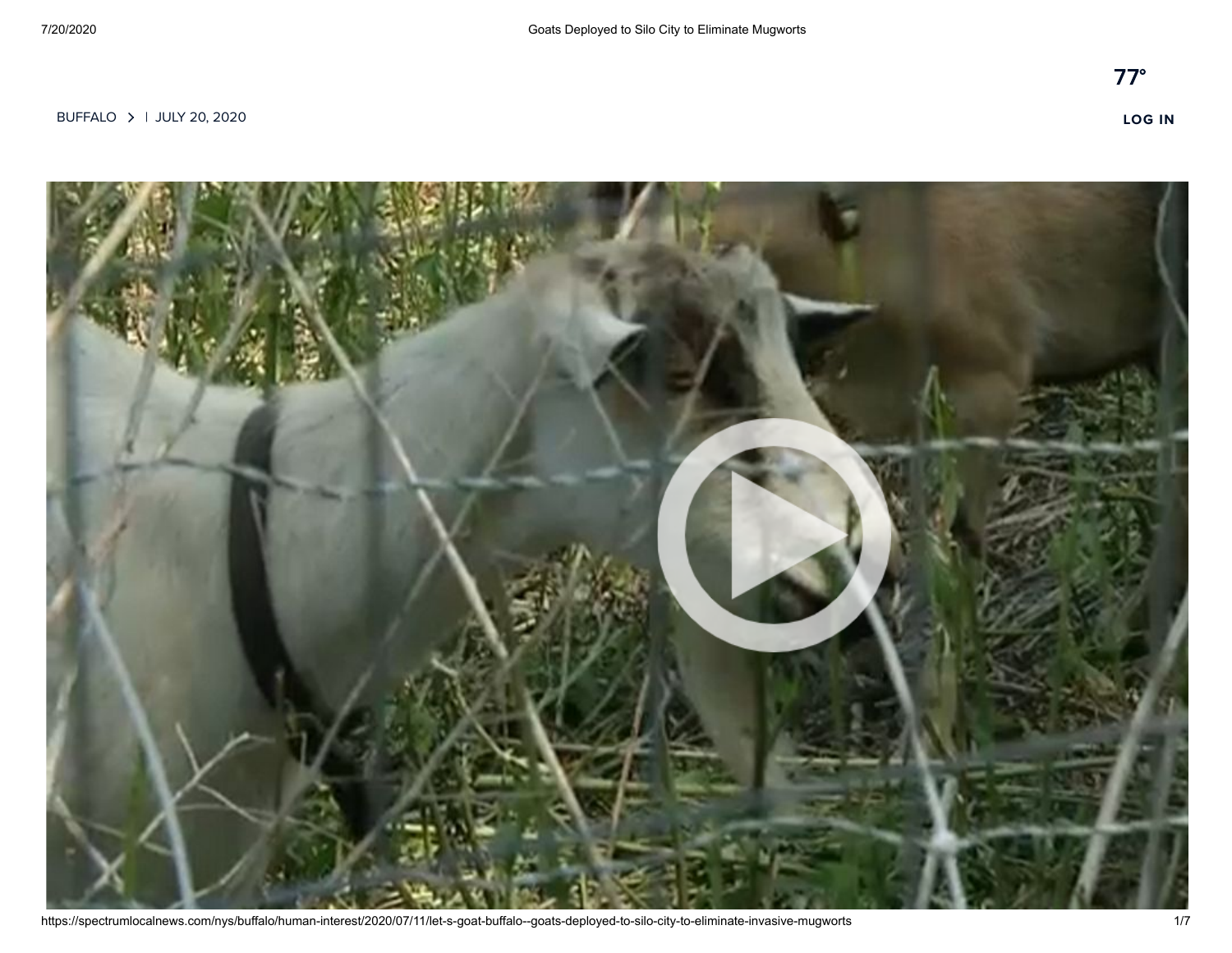

https://spectrumlocalnews.com/nys/buffalo/human-interest/2020/07/11/let-s-goat-buffalo--goats-deployed-to-silo-city-to-eliminate-invasive-mugworts 1/7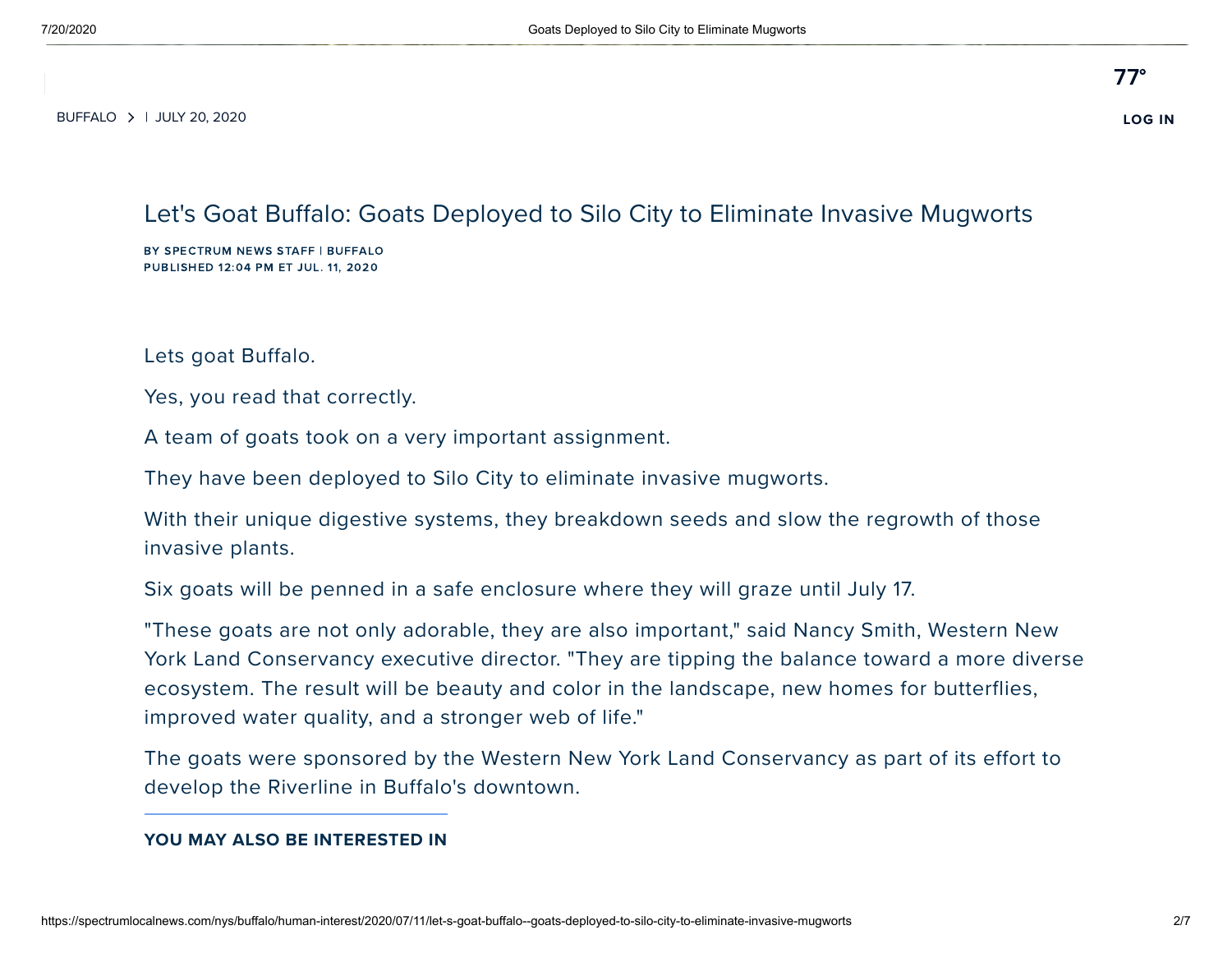$\frac{1}{2}$  VIDEOS 2000. [BUFFALO](https://spectrumlocalnews.com/splash.html#nys) | JULY 20, 2020 **[LOG](https://spectrumlocalnews.com/nys/buffalo/live-video/login) IN**

### Let's Goat Buffalo: Goats Deployed to Silo City to Eliminate Invasive Mugworts

BY SPECTRUM NEWS STAFF | BUFFALO PUBLISHED 12:04 PM ET JUL. 11, 2020

Lets goat Buffalo.

Yes, you read that correctly.

A team of goats took on a very important assignment.

They have been deployed to Silo City to eliminate invasive mugworts.

With their unique digestive systems, they breakdown seeds and slow the regrowth of those invasive plants.

Six goats will be penned in a safe enclosure where they will graze until July 17.

"These goats are not only adorable, they are also important," said Nancy Smith, Western New York Land Conservancy executive director. "They are tipping the balance toward a more diverse ecosystem. The result will be beauty and color in the landscape, new homes for butterflies, improved water quality, and a stronger web of life."

The goats were sponsored by the Western New York Land Conservancy as part of its effort to develop the Riverline in Buffalo's downtown.

#### **YOU MAY ALSO BE INTERESTED IN**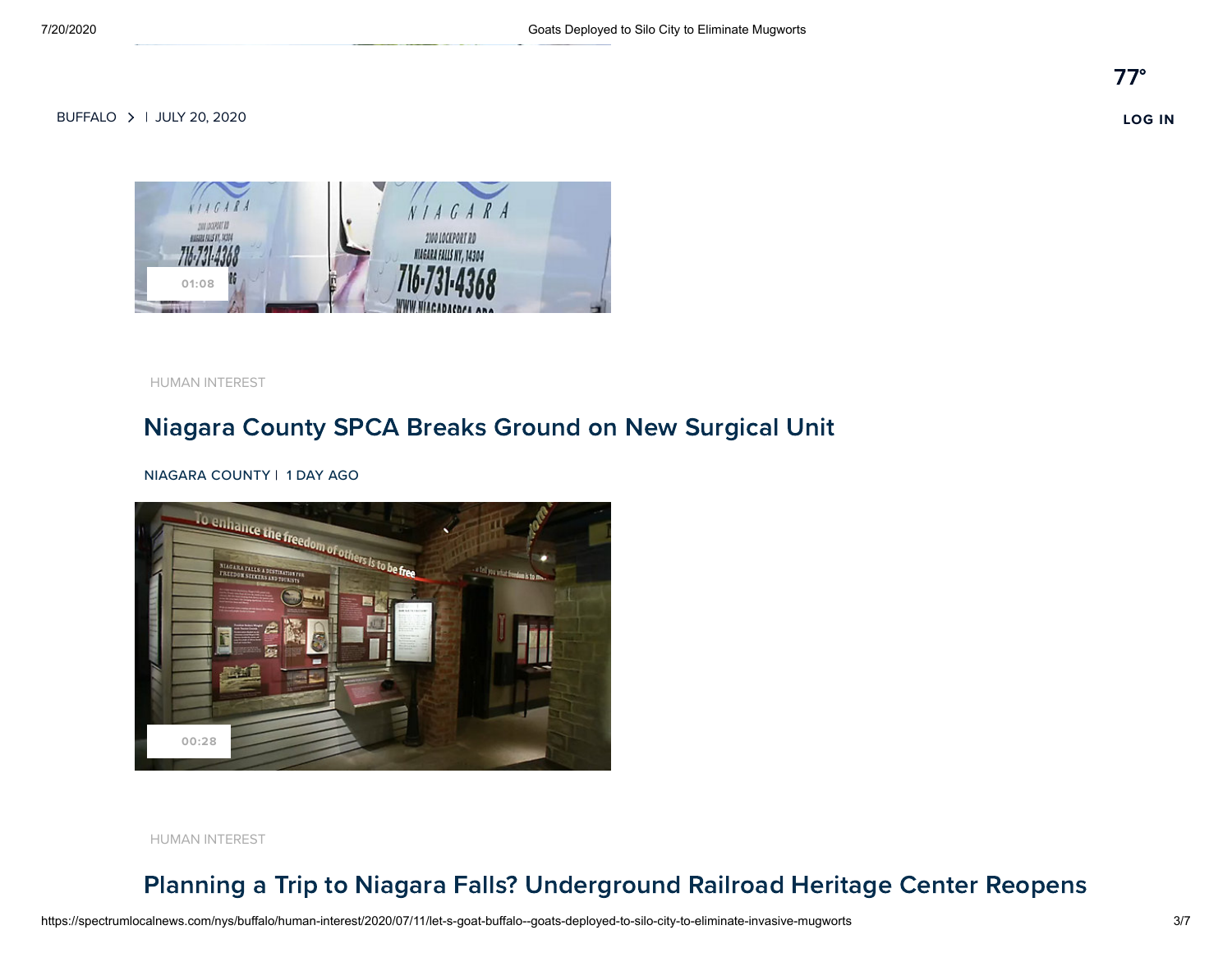

[HUMAN INTEREST](https://spectrumlocalnews.com/nys/buffalo/business/2020/07/18/niagara-county-spca-breaks-ground-on-new-surgical-unit-)

# Niagara County SPCA Breaks Ground on New [Surgical](https://spectrumlocalnews.com/nys/buffalo/business/2020/07/18/niagara-county-spca-breaks-ground-on-new-surgical-unit-) Unit

#### NIAGARA COUNTY | 1 DAY AGO



[HUMAN INTEREST](https://spectrumlocalnews.com/nys/buffalo/human-interest/2020/07/18/planning-a-trip-to-niagara-falls--underground-railroad-heritage-center-reopens)

# Planning a Trip to Niagara Falls? [Underground](https://spectrumlocalnews.com/nys/buffalo/human-interest/2020/07/18/planning-a-trip-to-niagara-falls--underground-railroad-heritage-center-reopens) Railroad Heritage Center Reopens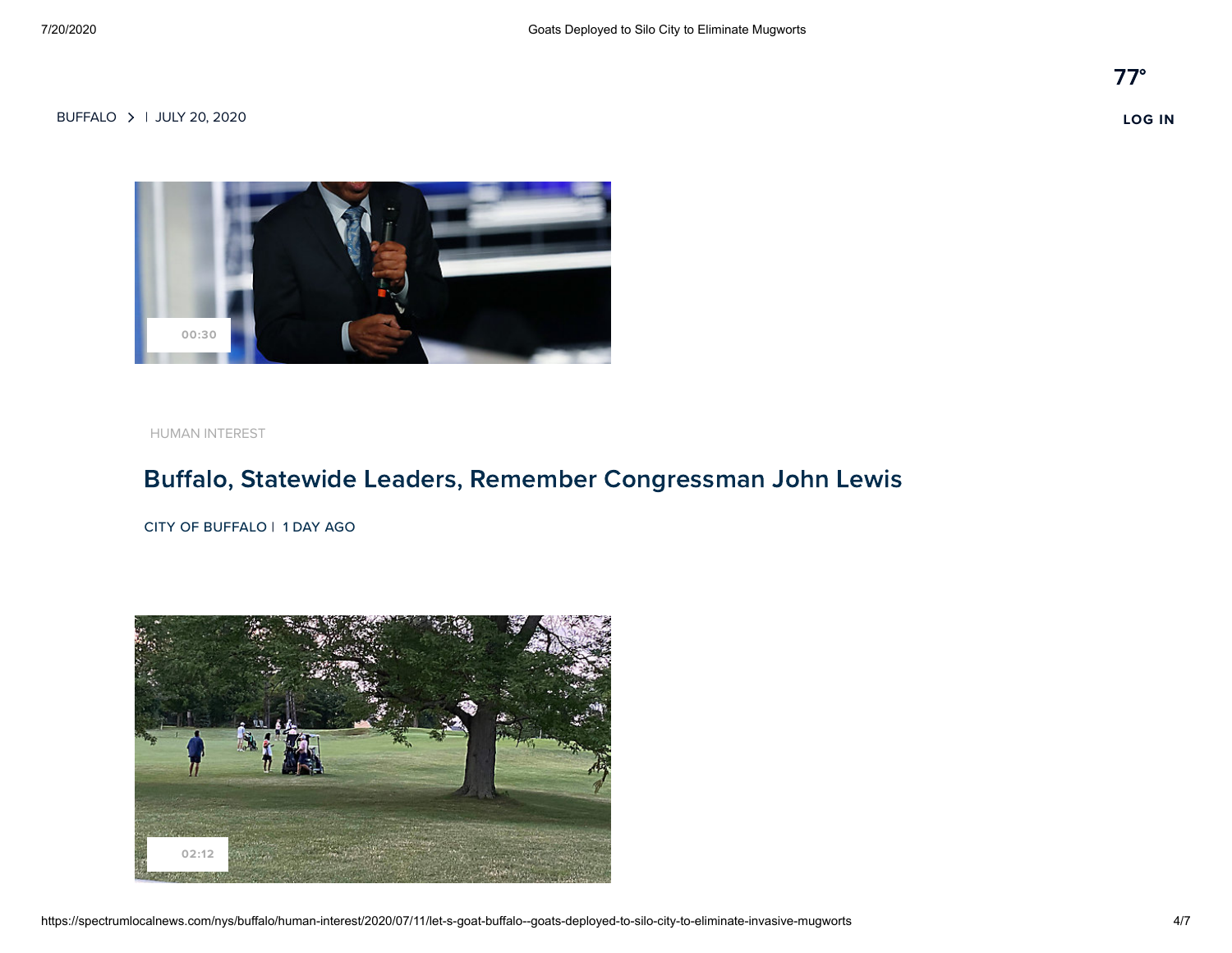

[HUMAN INTEREST](https://spectrumlocalnews.com/nys/buffalo/human-interest/2020/07/18/buffalo--statewide-leaders--remember-congressman-john-lewis-)

# Buffalo, Statewide Leaders, Remember [Congressman](https://spectrumlocalnews.com/nys/buffalo/human-interest/2020/07/18/buffalo--statewide-leaders--remember-congressman-john-lewis-) John Lewis

CITY OF BUFFALO | 1 DAY AGO

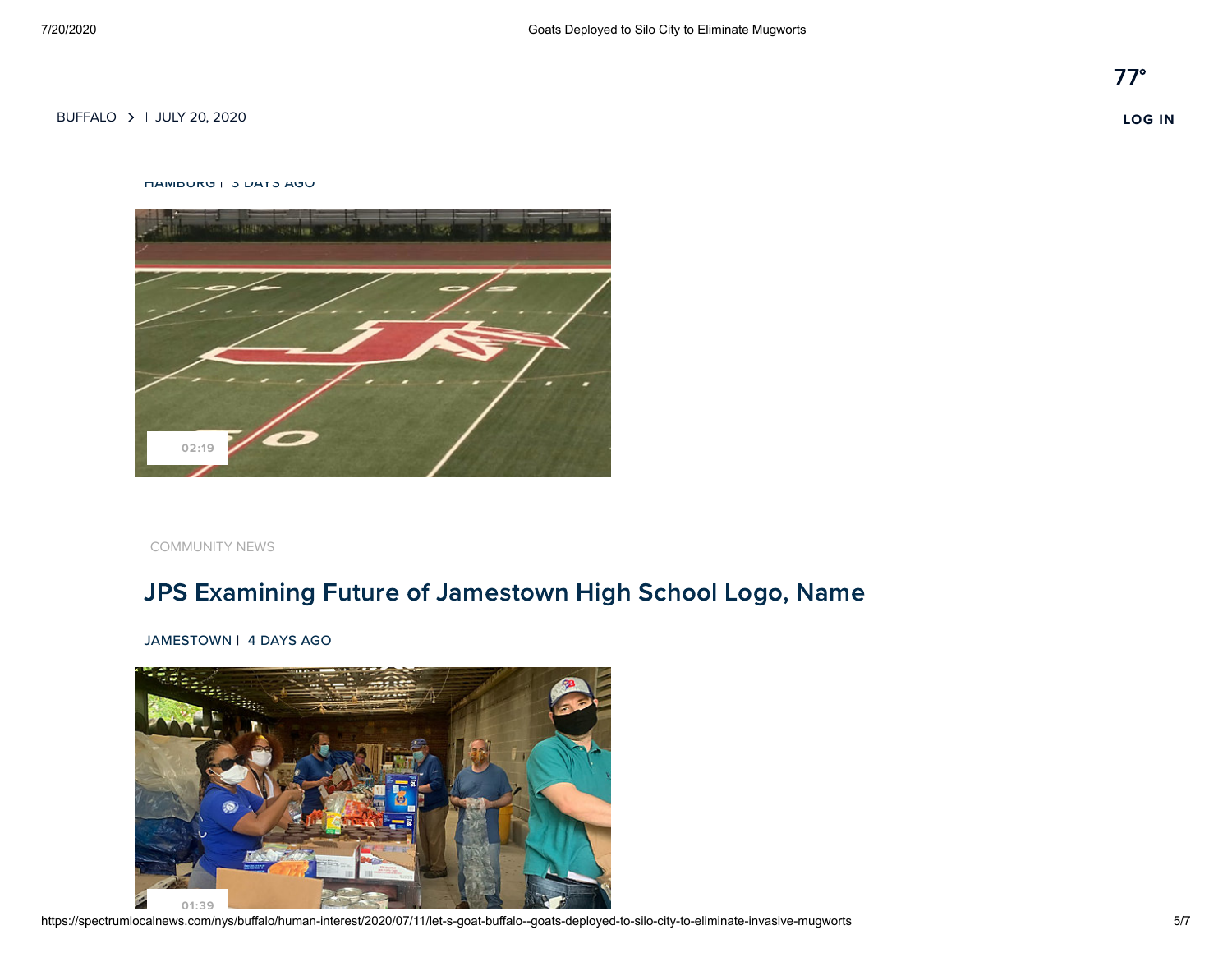Golf [Marathon](https://spectrumlocalnews.com/nys/buffalo/human-interest/2020/07/16/charity-golf-tournament-held-to-wny-kids-battling-childhood-illness) Raises Money for Sick Children in Western NY [BUFFALO](https://spectrumlocalnews.com/splash.html#nys) | JULY 20, 2020 **[LOG](https://spectrumlocalnews.com/nys/buffalo/live-video/login) IN**

#### HAMBURG | 3 DAYS AGO



[COMMUNITY NEWS](https://spectrumlocalnews.com/nys/buffalo/news/2020/07/15/local-community-rexamining-jamestown-high-school-red-raider-name-and-logo)

# JPS Examining Future of [Jamestown](https://spectrumlocalnews.com/nys/buffalo/news/2020/07/15/local-community-rexamining-jamestown-high-school-red-raider-name-and-logo) High School Logo, Name

JAMESTOWN | 4 DAYS AGO

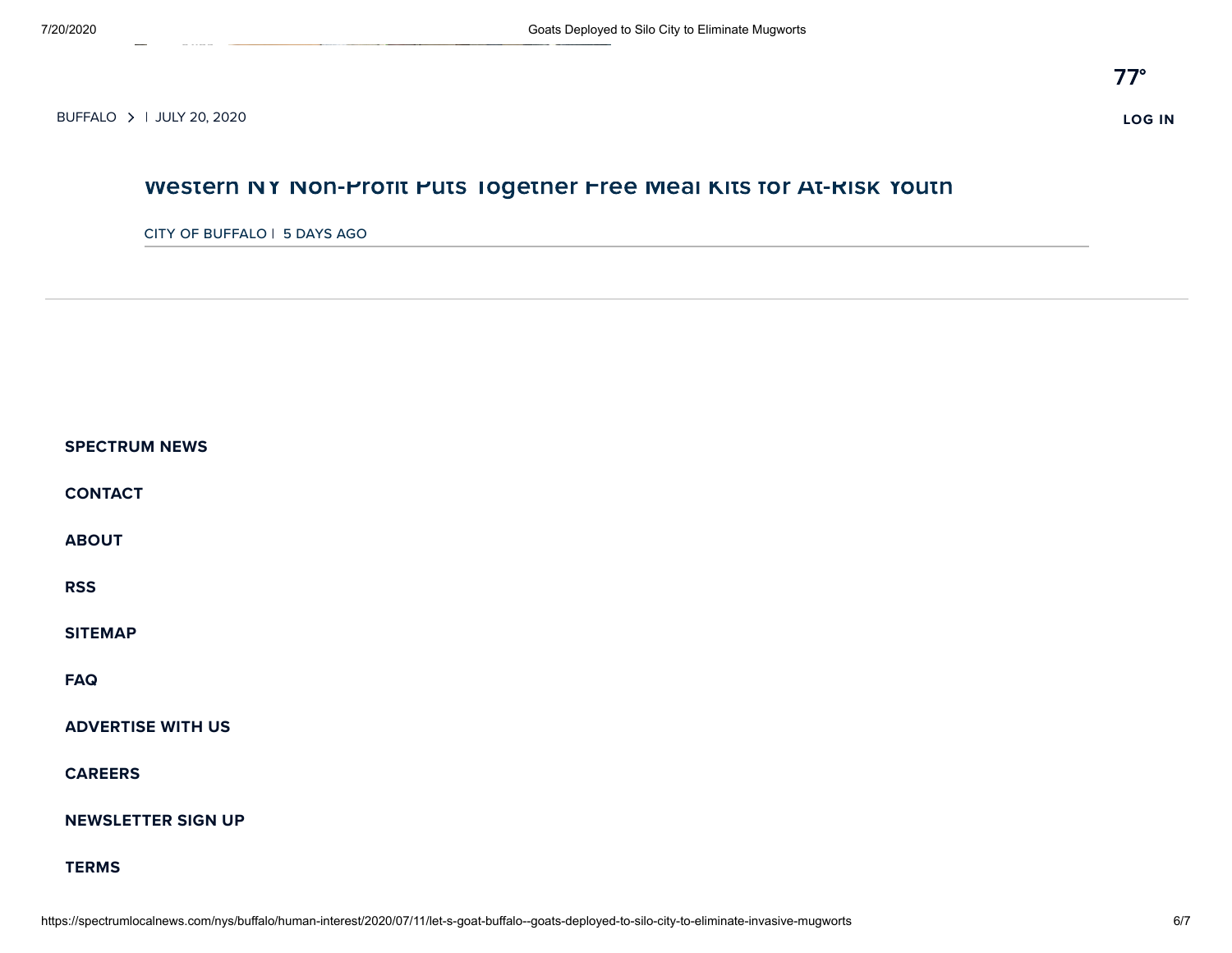**[01:39](https://spectrumlocalnews.com/nys/buffalo/human-interest/2020/07/15/western-ny-non-profit-puts-together-free-meal-kits-for-at-risk-youth)**

#### Western NY [Non-Profit](https://spectrumlocalnews.com/nys/buffalo/human-interest/2020/07/15/western-ny-non-profit-puts-together-free-meal-kits-for-at-risk-youth) Puts Together Free Meal Kits for At-Risk Youth

#### CITY OF BUFFALO | 5 DAYS AGO

| <b>SPECTRUM NEWS</b>      |
|---------------------------|
| <b>CONTACT</b>            |
| <b>ABOUT</b>              |
| <b>RSS</b>                |
| <b>SITEMAP</b>            |
| <b>FAQ</b>                |
| <b>ADVERTISE WITH US</b>  |
| <b>CAREERS</b>            |
| <b>NEWSLETTER SIGN UP</b> |
| <b>TERMS</b>              |